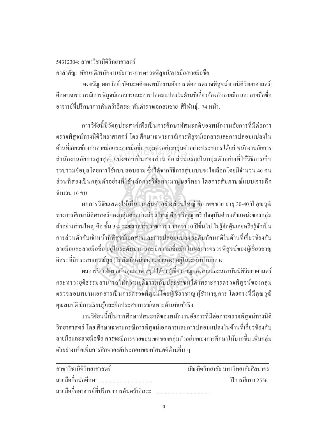## 54312304· สาขาวิชาบิติวิทยาศาสตร์

คำสำคัญ: ทัศนคติ/พนักงานอัยการ/การตรวจพิสูจน์/ลายมือ/ลายมือชื่อ ºÉ

ำงขวัญ ผดาวัลย์: ทัศนะคติของพนักงานอัยการ ต่อการตรวจพิสูจน์ทางนิติวิทยาศาสตร์: ศึกษาเฉพาะกรณีการพิสูจน์เอกสารและการปลอมแปลงในด้านที่เกี่ยวข้องกับลายมือ และลายมือชื่อ ºÉ ือาจารย์ที่ปรึกษาการค้นคว้าอิสระ: พันตำรวจเอกสมชาย ศิริพันธ์, *7*4 หน้า.

การวิจัยนี้มีวัตถุประสงค์เพื่อเป็นการศึกษาทัศนะคติของพนักงานอัยการที่มีต่อการ ่ ตรวจพิสูจน์ทางนิติวิทยาศาสตร์ โดย ศึกษาเฉพาะกรณีการพิสูจน์เอกสารและการปลอมแปลงใน ด้านที่เกี่ยวข้องกับลายมือและลายมือชื่อ กลุ่มตัวอย่างกลุ่มตัวอย่างประชากร ได้แก่ พนักงานอัยการ ºÉ สำนักงานอัยการสูงสุค} แบ่งออกเป็นสองส่วน คือ ส่วนแรกเป็นกลุ่มตัวอย่างที่ใช้วิธีการเก็บ รวบรวมข้อมูลโดยการใช้แบบสอบถาม ซึ่งได้จากวิธีการสุ่มแบบจงใจเลือกโดยมีจำนวน 40 คน ส่วนที่สองเป็นกลุ่มตัวอย่างที่ใช้หลักการวิจัยทางมานุษยวิทยา โดยการสัมภาษณ์แบบเจาะลึก ้ำนวน 10 คน มอและลายมอชอ กลุ่มตัวอยางกลุ่มตัวอยา<br>ค. แบ่งออกเป็นสองส่วน คือ ส่วนแรกเ

้ผลการวิจัยแสคงให้เห็นว่ากลุ่มตัวอย่างส่วนใหญ่ คือ เพศชาย อายุ 30-40 ปี คุณวุฒิ ทางการศึกษานิติศาสตร์ของกลุ่มตัวอย่างส่วนใหญ่ คือ ปริญญาตรี ปัจจุบันดำรงตำแหน่งของกลุ่ม ้ ตัวอย่างส่วนใหญ่ คือ ชั้น 3-4 ระยะเวลารับราชการ มากกว่า 10 ปีขึ้นไป ไม่รู้จักคุ้นเคยหรือรู้จักเป็น การส่วนตัวกับเจ้าหน้าที่พิสูจน์เอกสารและการปลอมแปลง ระดับทัศนคติในด้านที่เกี่ยวข้องกับ ลายมือและลายมือชื่อ อยู่ในระดับมาก และมีความเชื่อมั่นในผลการตรวจพิสูจน์ของผู้เชี่ยวชาญ ºÉ ºÉ ¸É อิสระที่มีประสบการณ์สูง (ไม่สังกัดหน่วยงานทั้งสอง) อยู่ในระดับปานกลาง

ผลการวิจัยข้อมูลเชิงคุณภาพ สรุปได้ว่า ผู้เชี่ยวชาญของศาลและสถาบันนิติวิทยาศาสตร์ กระทรวงยุติธรรมสามารถให้ความยุติธรรมกับประชาชนได้ เพราะการตรวจพิสูจน์ของกลุ่ม ตรวจสอบพยานเอกสารเป็นการตรวจพิสูจน์โดยผู้เชี่ยวชาญ ผู้ชำนาญการ โดยตรงที่มีคุณวุฒิ 。<br>│ คุณสมบัติ มีการเรียนรู้และฝึกประสบการณ์เฉพาะค้านที่แท้จริง

่ งานวิจัยนนี้เป็นการศึกษาทัศนะคติของพนักงานอัยการที่มีต่อการตรวจพิสูจน์ทางนิติ วิทยาศาสตร์ โดย ศึกษาเฉพาะกรณีการพิสูจน์เอกสารและการปลอมแปลงในด้านที่เกี่ยวข้องกับ │ ลายมือและลายมือชื่อ ควรจะมีการขายขอบเขตของกลุ่มตัวอย่างของการศึกษาให้มากขึ้น เพิ่มกลุ่ม ตัวอย่างหรือเพิ่มการศึกษาองค์ประกอบของทัศนคติด้านอื่น ๆ ºÉ

| ิสาขาวิชานิติวิทยาศาสตร์                   | ำเันฑิตวิทยาลัย มหาวิทยาลัยศิลปากร |
|--------------------------------------------|------------------------------------|
|                                            | ปีการศึกษา 2556                    |
| ิลายมือชื่ออาจารย์ที่ปรึกษาการค้นคว้าอิสระ |                                    |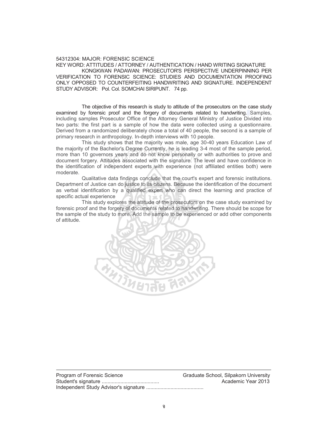## 54312304: MAJOR: FORENSIC SCIENCE

KEY WORD: ATTITUDES / ATTORNEY / AUTHENTICATION / HAND WRITING SIGNATURE KONGKWAN PADAWAN: PROSECUTOR'S PERSPECTIVE UNDERPINNING PER VERIFICATION TO FORENSIC SCIENCE: STUDIES AND DOCUMENTATION PROOFING ONLY OPPOSED TO COUNTERFEITING HANDWRITING AND SIGNATURE. INDEPENDENT STUDY ADVISOR: Pol. Col. SOMCHAI SIRIPUNT. 74 pp.

The objective of this research is study to attitude of the prosecutors on the case study examined by forensic proof and the forgery of documents related to handwriting. Samples, including samples Prosecutor Office of the Attorney General Ministry of Justice Divided into two parts: the first part is a sample of how the data were collected using a questionnaire. Derived from a randomized deliberately chose a total of 40 people, the second is a sample of primary research in anthropology. In-depth interviews with 10 people.

This study shows that the majority was male, age 30-40 years Education Law of the majority of the Bachelor's Degree Currently, he is leading 3-4 most of the sample period, more than 10 governors years and do not know personally or with authorities to prove and document forgery. Attitudes associated with the signature. The level and have confidence in the identification of independent experts with experience (not affiliated entities both) were moderate. chelor's Degree Currently, he is leading<br>ors years and do not know personally (<br>iitudes associated with the signature. The<br>ndependent experts with experience (n

Qualitative data findings conclude that the court's expert and forensic institutions. Department of Justice can do justice to its citizens. Because the identification of the document as verbal identification by a qualified expert who can direct the learning and practice of specific actual experience

This study explores the attitude of the prosecutors on the case study examined by forensic proof and the forgery of documents related to handwriting. There should be scope for the sample of the study to more. Add the sample to be experienced or add other components of attitude.



Program of Forensic Science Gram Graduate School, Silpakorn University Student's signature ........................................ Academic Year 2013 Independent Study Advisor's signature ........................................